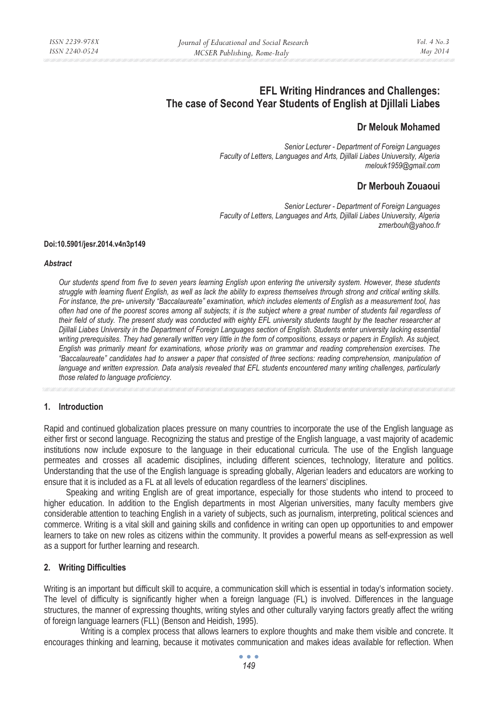# **EFL Writing Hindrances and Challenges: The case of Second Year Students of English at Djillali Liabes**

# **Dr Melouk Mohamed**

*Senior Lecturer - Department of Foreign Languages Faculty of Letters, Languages and Arts, Djillali Liabes Uniuversity, Algeria melouk1959@gmail.com* 

# **Dr Merbouh Zouaoui**

*Senior Lecturer - Department of Foreign Languages Faculty of Letters, Languages and Arts, Djillali Liabes Uniuversity, Algeria zmerbouh@yahoo.fr* 

#### **Doi:10.5901/jesr.2014.v4n3p149**

#### *Abstract*

*Our students spend from five to seven years learning English upon entering the university system. However, these students struggle with learning fluent English, as well as lack the ability to express themselves through strong and critical writing skills. For instance, the pre- university "Baccalaureate" examination, which includes elements of English as a measurement tool, has often had one of the poorest scores among all subjects; it is the subject where a great number of students fail regardless of their field of study. The present study was conducted with eighty EFL university students taught by the teacher researcher at Djillali Liabes University in the Department of Foreign Languages section of English. Students enter university lacking essential writing prerequisites. They had generally written very little in the form of compositions, essays or papers in English. As subject, English was primarily meant for examinations, whose priority was on grammar and reading comprehension exercises. The "Baccalaureate" candidates had to answer a paper that consisted of three sections: reading comprehension, manipulation of*  language and written expression. Data analysis revealed that EFL students encountered many writing challenges, particularly *those related to language proficiency.* 

#### **1. Introduction**

Rapid and continued globalization places pressure on many countries to incorporate the use of the English language as either first or second language. Recognizing the status and prestige of the English language, a vast majority of academic institutions now include exposure to the language in their educational curricula. The use of the English language permeates and crosses all academic disciplines, including different sciences, technology, literature and politics. Understanding that the use of the English language is spreading globally, Algerian leaders and educators are working to ensure that it is included as a FL at all levels of education regardless of the learners' disciplines.

Speaking and writing English are of great importance, especially for those students who intend to proceed to higher education. In addition to the English departments in most Algerian universities, many faculty members give considerable attention to teaching English in a variety of subjects, such as journalism, interpreting, political sciences and commerce. Writing is a vital skill and gaining skills and confidence in writing can open up opportunities to and empower learners to take on new roles as citizens within the community. It provides a powerful means as self-expression as well as a support for further learning and research.

# **2. Writing Difficulties**

Writing is an important but difficult skill to acquire, a communication skill which is essential in today's information society. The level of difficulty is significantly higher when a foreign language (FL) is involved. Differences in the language structures, the manner of expressing thoughts, writing styles and other culturally varying factors greatly affect the writing of foreign language learners (FLL) (Benson and Heidish, 1995).

 Writing is a complex process that allows learners to explore thoughts and make them visible and concrete. It encourages thinking and learning, because it motivates communication and makes ideas available for reflection. When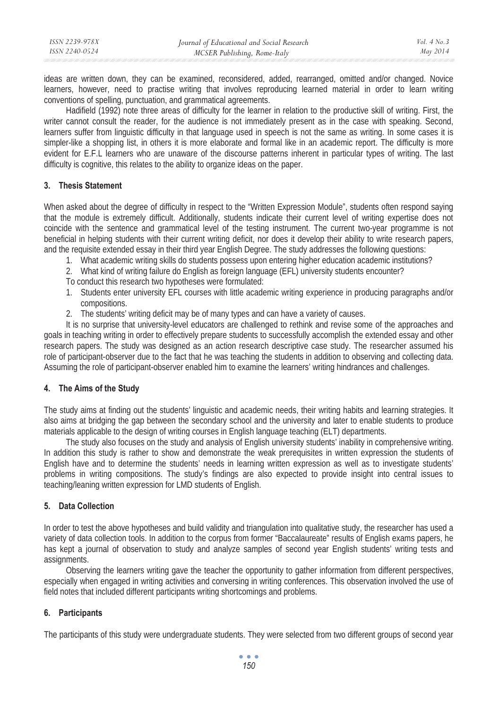| ISSN 2239-978X | Journal of Educational and Social Research | <i>Vol.</i> 4 $No.3$ |
|----------------|--------------------------------------------|----------------------|
| ISSN 2240-0524 | MCSER Publishing, Rome-Italy               | May 2014             |

ideas are written down, they can be examined, reconsidered, added, rearranged, omitted and/or changed. Novice learners, however, need to practise writing that involves reproducing learned material in order to learn writing conventions of spelling, punctuation, and grammatical agreements.

Hadifield (1992) note three areas of difficulty for the learner in relation to the productive skill of writing. First, the writer cannot consult the reader, for the audience is not immediately present as in the case with speaking. Second, learners suffer from linguistic difficulty in that language used in speech is not the same as writing. In some cases it is simpler-like a shopping list, in others it is more elaborate and formal like in an academic report. The difficulty is more evident for E.F.L learners who are unaware of the discourse patterns inherent in particular types of writing. The last difficulty is cognitive, this relates to the ability to organize ideas on the paper.

# **3. Thesis Statement**

When asked about the degree of difficulty in respect to the "Written Expression Module", students often respond saying that the module is extremely difficult. Additionally, students indicate their current level of writing expertise does not coincide with the sentence and grammatical level of the testing instrument. The current two-year programme is not beneficial in helping students with their current writing deficit, nor does it develop their ability to write research papers, and the requisite extended essay in their third year English Degree. The study addresses the following questions:

- 1. What academic writing skills do students possess upon entering higher education academic institutions?
- 2. What kind of writing failure do English as foreign language (EFL) university students encounter?
- To conduct this research two hypotheses were formulated:
- 1. Students enter university EFL courses with little academic writing experience in producing paragraphs and/or compositions.
- 2. The students' writing deficit may be of many types and can have a variety of causes.

It is no surprise that university-level educators are challenged to rethink and revise some of the approaches and goals in teaching writing in order to effectively prepare students to successfully accomplish the extended essay and other research papers. The study was designed as an action research descriptive case study. The researcher assumed his role of participant-observer due to the fact that he was teaching the students in addition to observing and collecting data. Assuming the role of participant-observer enabled him to examine the learners' writing hindrances and challenges.

#### **4. The Aims of the Study**

The study aims at finding out the students' linguistic and academic needs, their writing habits and learning strategies. It also aims at bridging the gap between the secondary school and the university and later to enable students to produce materials applicable to the design of writing courses in English language teaching (ELT) departments.

The study also focuses on the study and analysis of English university students' inability in comprehensive writing. In addition this study is rather to show and demonstrate the weak prerequisites in written expression the students of English have and to determine the students' needs in learning written expression as well as to investigate students' problems in writing compositions. The study's findings are also expected to provide insight into central issues to teaching/leaning written expression for LMD students of English.

# **5. Data Collection**

In order to test the above hypotheses and build validity and triangulation into qualitative study, the researcher has used a variety of data collection tools. In addition to the corpus from former "Baccalaureate" results of English exams papers, he has kept a journal of observation to study and analyze samples of second year English students' writing tests and assignments.

Observing the learners writing gave the teacher the opportunity to gather information from different perspectives, especially when engaged in writing activities and conversing in writing conferences. This observation involved the use of field notes that included different participants writing shortcomings and problems.

# **6. Participants**

The participants of this study were undergraduate students. They were selected from two different groups of second year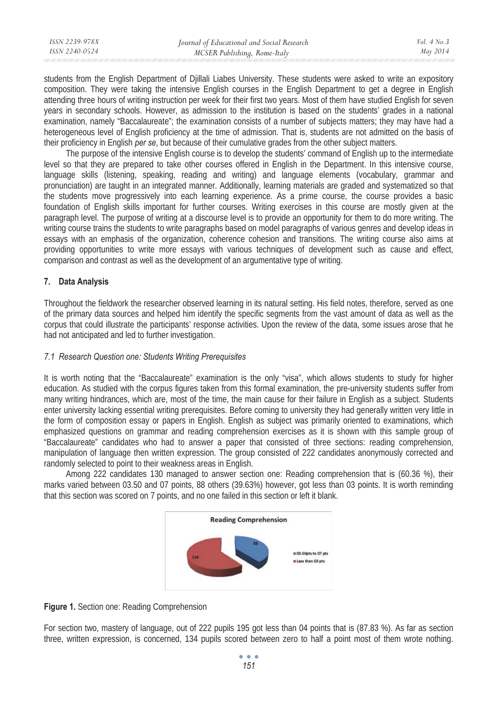| ISSN 2239-978X | Journal of Educational and Social Research | Vol. $4$ No. $3$ |
|----------------|--------------------------------------------|------------------|
| ISSN 2240-0524 | MCSER Publishing, Rome-Italy               | May 2014         |
|                |                                            |                  |

students from the English Department of Djillali Liabes University. These students were asked to write an expository composition. They were taking the intensive English courses in the English Department to get a degree in English attending three hours of writing instruction per week for their first two years. Most of them have studied English for seven years in secondary schools. However, as admission to the institution is based on the students' grades in a national examination, namely "Baccalaureate"; the examination consists of a number of subjects matters; they may have had a heterogeneous level of English proficiency at the time of admission. That is, students are not admitted on the basis of their proficiency in English *per se*, but because of their cumulative grades from the other subject matters.

The purpose of the intensive English course is to develop the students' command of English up to the intermediate level so that they are prepared to take other courses offered in English in the Department. In this intensive course, language skills (listening, speaking, reading and writing) and language elements (vocabulary, grammar and pronunciation) are taught in an integrated manner. Additionally, learning materials are graded and systematized so that the students move progressively into each learning experience. As a prime course, the course provides a basic foundation of English skills important for further courses. Writing exercises in this course are mostly given at the paragraph level. The purpose of writing at a discourse level is to provide an opportunity for them to do more writing. The writing course trains the students to write paragraphs based on model paragraphs of various genres and develop ideas in essays with an emphasis of the organization, coherence cohesion and transitions. The writing course also aims at providing opportunities to write more essays with various techniques of development such as cause and effect, comparison and contrast as well as the development of an argumentative type of writing.

# **7. Data Analysis**

Throughout the fieldwork the researcher observed learning in its natural setting. His field notes, therefore, served as one of the primary data sources and helped him identify the specific segments from the vast amount of data as well as the corpus that could illustrate the participants' response activities. Upon the review of the data, some issues arose that he had not anticipated and led to further investigation.

#### *7.1 Research Question one: Students Writing Prerequisites*

It is worth noting that the "Baccalaureate" examination is the only "visa", which allows students to study for higher education. As studied with the corpus figures taken from this formal examination, the pre-university students suffer from many writing hindrances, which are, most of the time, the main cause for their failure in English as a subject. Students enter university lacking essential writing prerequisites. Before coming to university they had generally written very little in the form of composition essay or papers in English. English as subject was primarily oriented to examinations, which emphasized questions on grammar and reading comprehension exercises as it is shown with this sample group of "Baccalaureate" candidates who had to answer a paper that consisted of three sections: reading comprehension, manipulation of language then written expression. The group consisted of 222 candidates anonymously corrected and randomly selected to point to their weakness areas in English.

Among 222 candidates 130 managed to answer section one: Reading comprehension that is (60.36 %), their marks varied between 03.50 and 07 points, 88 others (39.63%) however, got less than 03 points. It is worth reminding that this section was scored on 7 points, and no one failed in this section or left it blank.



**Figure 1.** Section one: Reading Comprehension

For section two, mastery of language, out of 222 pupils 195 got less than 04 points that is (87.83 %). As far as section three, written expression, is concerned, 134 pupils scored between zero to half a point most of them wrote nothing.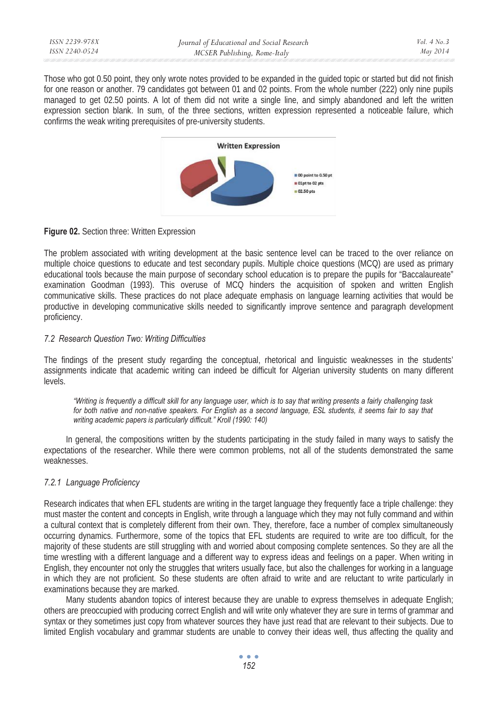Those who got 0.50 point, they only wrote notes provided to be expanded in the guided topic or started but did not finish for one reason or another. 79 candidates got between 01 and 02 points. From the whole number (222) only nine pupils managed to get 02.50 points. A lot of them did not write a single line, and simply abandoned and left the written expression section blank. In sum, of the three sections, written expression represented a noticeable failure, which confirms the weak writing prerequisites of pre-university students.



# **Figure 02.** Section three: Written Expression

The problem associated with writing development at the basic sentence level can be traced to the over reliance on multiple choice questions to educate and test secondary pupils. Multiple choice questions (MCQ) are used as primary educational tools because the main purpose of secondary school education is to prepare the pupils for "Baccalaureate" examination Goodman (1993). This overuse of MCQ hinders the acquisition of spoken and written English communicative skills. These practices do not place adequate emphasis on language learning activities that would be productive in developing communicative skills needed to significantly improve sentence and paragraph development proficiency.

# *7.2 Research Question Two: Writing Difficulties*

The findings of the present study regarding the conceptual, rhetorical and linguistic weaknesses in the students' assignments indicate that academic writing can indeed be difficult for Algerian university students on many different levels.

*"Writing is frequently a difficult skill for any language user, which is to say that writing presents a fairly challenging task* for both native and non-native speakers. For English as a second language, ESL students, it seems fair to say that *writing academic papers is particularly difficult." Kroll (1990: 140)* 

In general, the compositions written by the students participating in the study failed in many ways to satisfy the expectations of the researcher. While there were common problems, not all of the students demonstrated the same weaknesses.

# *7.2.1 Language Proficiency*

Research indicates that when EFL students are writing in the target language they frequently face a triple challenge: they must master the content and concepts in English, write through a language which they may not fully command and within a cultural context that is completely different from their own. They, therefore, face a number of complex simultaneously occurring dynamics. Furthermore, some of the topics that EFL students are required to write are too difficult, for the majority of these students are still struggling with and worried about composing complete sentences. So they are all the time wrestling with a different language and a different way to express ideas and feelings on a paper. When writing in English, they encounter not only the struggles that writers usually face, but also the challenges for working in a language in which they are not proficient. So these students are often afraid to write and are reluctant to write particularly in examinations because they are marked.

Many students abandon topics of interest because they are unable to express themselves in adequate English; others are preoccupied with producing correct English and will write only whatever they are sure in terms of grammar and syntax or they sometimes just copy from whatever sources they have just read that are relevant to their subjects. Due to limited English vocabulary and grammar students are unable to convey their ideas well, thus affecting the quality and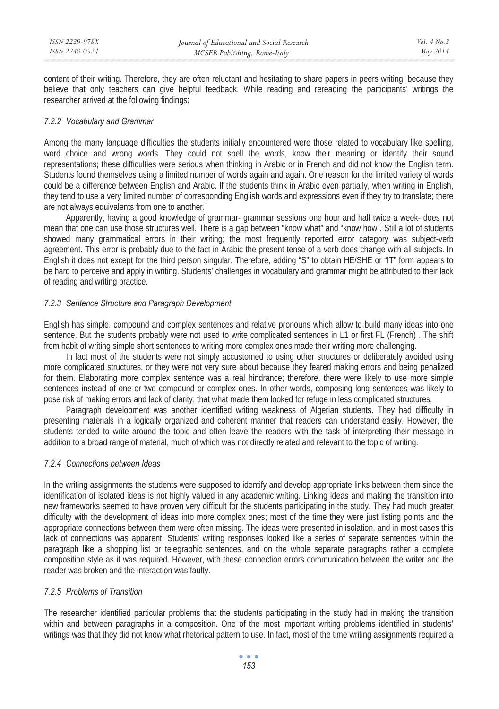content of their writing. Therefore, they are often reluctant and hesitating to share papers in peers writing, because they believe that only teachers can give helpful feedback. While reading and rereading the participants' writings the researcher arrived at the following findings:

# *7.2.2 Vocabulary and Grammar*

Among the many language difficulties the students initially encountered were those related to vocabulary like spelling, word choice and wrong words. They could not spell the words, know their meaning or identify their sound representations; these difficulties were serious when thinking in Arabic or in French and did not know the English term. Students found themselves using a limited number of words again and again. One reason for the limited variety of words could be a difference between English and Arabic. If the students think in Arabic even partially, when writing in English, they tend to use a very limited number of corresponding English words and expressions even if they try to translate; there are not always equivalents from one to another.

Apparently, having a good knowledge of grammar- grammar sessions one hour and half twice a week- does not mean that one can use those structures well. There is a gap between "know what" and "know how". Still a lot of students showed many grammatical errors in their writing; the most frequently reported error category was subject-verb agreement. This error is probably due to the fact in Arabic the present tense of a verb does change with all subjects. In English it does not except for the third person singular. Therefore, adding "S" to obtain HE/SHE or "IT" form appears to be hard to perceive and apply in writing. Students' challenges in vocabulary and grammar might be attributed to their lack of reading and writing practice.

# *7.2.3 Sentence Structure and Paragraph Development*

English has simple, compound and complex sentences and relative pronouns which allow to build many ideas into one sentence. But the students probably were not used to write complicated sentences in L1 or first FL (French) . The shift from habit of writing simple short sentences to writing more complex ones made their writing more challenging.

In fact most of the students were not simply accustomed to using other structures or deliberately avoided using more complicated structures, or they were not very sure about because they feared making errors and being penalized for them. Elaborating more complex sentence was a real hindrance; therefore, there were likely to use more simple sentences instead of one or two compound or complex ones. In other words, composing long sentences was likely to pose risk of making errors and lack of clarity; that what made them looked for refuge in less complicated structures.

Paragraph development was another identified writing weakness of Algerian students. They had difficulty in presenting materials in a logically organized and coherent manner that readers can understand easily. However, the students tended to write around the topic and often leave the readers with the task of interpreting their message in addition to a broad range of material, much of which was not directly related and relevant to the topic of writing.

#### *7.2.4 Connections between Ideas*

In the writing assignments the students were supposed to identify and develop appropriate links between them since the identification of isolated ideas is not highly valued in any academic writing. Linking ideas and making the transition into new frameworks seemed to have proven very difficult for the students participating in the study. They had much greater difficulty with the development of ideas into more complex ones; most of the time they were just listing points and the appropriate connections between them were often missing. The ideas were presented in isolation, and in most cases this lack of connections was apparent. Students' writing responses looked like a series of separate sentences within the paragraph like a shopping list or telegraphic sentences, and on the whole separate paragraphs rather a complete composition style as it was required. However, with these connection errors communication between the writer and the reader was broken and the interaction was faulty.

# *7.2.5 Problems of Transition*

The researcher identified particular problems that the students participating in the study had in making the transition within and between paragraphs in a composition. One of the most important writing problems identified in students' writings was that they did not know what rhetorical pattern to use. In fact, most of the time writing assignments required a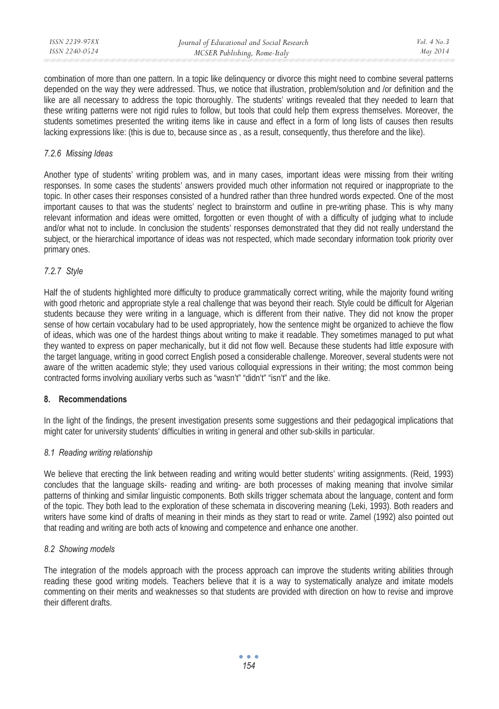combination of more than one pattern. In a topic like delinquency or divorce this might need to combine several patterns depended on the way they were addressed. Thus, we notice that illustration, problem/solution and /or definition and the like are all necessary to address the topic thoroughly. The students' writings revealed that they needed to learn that these writing patterns were not rigid rules to follow, but tools that could help them express themselves. Moreover, the students sometimes presented the writing items like in cause and effect in a form of long lists of causes then results lacking expressions like: (this is due to, because since as , as a result, consequently, thus therefore and the like).

# *7.2.6 Missing Ideas*

Another type of students' writing problem was, and in many cases, important ideas were missing from their writing responses. In some cases the students' answers provided much other information not required or inappropriate to the topic. In other cases their responses consisted of a hundred rather than three hundred words expected. One of the most important causes to that was the students' neglect to brainstorm and outline in pre-writing phase. This is why many relevant information and ideas were omitted, forgotten or even thought of with a difficulty of judging what to include and/or what not to include. In conclusion the students' responses demonstrated that they did not really understand the subject, or the hierarchical importance of ideas was not respected, which made secondary information took priority over primary ones.

# *7.2.7 Style*

Half the of students highlighted more difficulty to produce grammatically correct writing, while the majority found writing with good rhetoric and appropriate style a real challenge that was beyond their reach. Style could be difficult for Algerian students because they were writing in a language, which is different from their native. They did not know the proper sense of how certain vocabulary had to be used appropriately, how the sentence might be organized to achieve the flow of ideas, which was one of the hardest things about writing to make it readable. They sometimes managed to put what they wanted to express on paper mechanically, but it did not flow well. Because these students had little exposure with the target language, writing in good correct English posed a considerable challenge. Moreover, several students were not aware of the written academic style; they used various colloquial expressions in their writing; the most common being contracted forms involving auxiliary verbs such as "wasn't" "didn't" "isn't" and the like.

#### **8. Recommendations**

In the light of the findings, the present investigation presents some suggestions and their pedagogical implications that might cater for university students' difficulties in writing in general and other sub-skills in particular.

#### *8.1 Reading writing relationship*

We believe that erecting the link between reading and writing would better students' writing assignments. (Reid, 1993) concludes that the language skills- reading and writing- are both processes of making meaning that involve similar patterns of thinking and similar linguistic components. Both skills trigger schemata about the language, content and form of the topic. They both lead to the exploration of these schemata in discovering meaning (Leki, 1993). Both readers and writers have some kind of drafts of meaning in their minds as they start to read or write. Zamel (1992) also pointed out that reading and writing are both acts of knowing and competence and enhance one another.

#### *8.2 Showing models*

The integration of the models approach with the process approach can improve the students writing abilities through reading these good writing models. Teachers believe that it is a way to systematically analyze and imitate models commenting on their merits and weaknesses so that students are provided with direction on how to revise and improve their different drafts.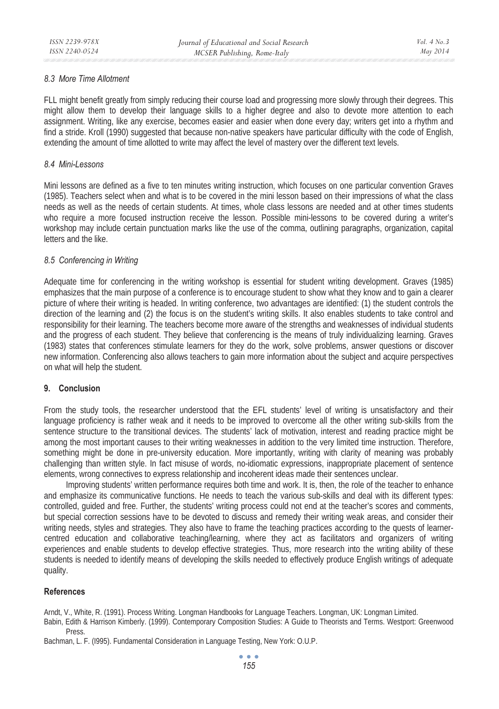#### *8.3 More Time Allotment*

FLL might benefit greatly from simply reducing their course load and progressing more slowly through their degrees. This might allow them to develop their language skills to a higher degree and also to devote more attention to each assignment. Writing, like any exercise, becomes easier and easier when done every day; writers get into a rhythm and find a stride. Kroll (1990) suggested that because non-native speakers have particular difficulty with the code of English, extending the amount of time allotted to write may affect the level of mastery over the different text levels.

#### *8.4 Mini-Lessons*

Mini lessons are defined as a five to ten minutes writing instruction, which focuses on one particular convention Graves (1985). Teachers select when and what is to be covered in the mini lesson based on their impressions of what the class needs as well as the needs of certain students. At times, whole class lessons are needed and at other times students who require a more focused instruction receive the lesson. Possible mini-lessons to be covered during a writer's workshop may include certain punctuation marks like the use of the comma, outlining paragraphs, organization, capital letters and the like.

#### *8.5 Conferencing in Writing*

Adequate time for conferencing in the writing workshop is essential for student writing development. Graves (1985) emphasizes that the main purpose of a conference is to encourage student to show what they know and to gain a clearer picture of where their writing is headed. In writing conference, two advantages are identified: (1) the student controls the direction of the learning and (2) the focus is on the student's writing skills. It also enables students to take control and responsibility for their learning. The teachers become more aware of the strengths and weaknesses of individual students and the progress of each student. They believe that conferencing is the means of truly individualizing learning. Graves (1983) states that conferences stimulate learners for they do the work, solve problems, answer questions or discover new information. Conferencing also allows teachers to gain more information about the subject and acquire perspectives on what will help the student.

#### **9. Conclusion**

From the study tools, the researcher understood that the EFL students' level of writing is unsatisfactory and their language proficiency is rather weak and it needs to be improved to overcome all the other writing sub-skills from the sentence structure to the transitional devices. The students' lack of motivation, interest and reading practice might be among the most important causes to their writing weaknesses in addition to the very limited time instruction. Therefore, something might be done in pre-university education. More importantly, writing with clarity of meaning was probably challenging than written style. In fact misuse of words, no-idiomatic expressions, inappropriate placement of sentence elements, wrong connectives to express relationship and incoherent ideas made their sentences unclear.

Improving students' written performance requires both time and work. It is, then, the role of the teacher to enhance and emphasize its communicative functions. He needs to teach the various sub-skills and deal with its different types: controlled, guided and free. Further, the students' writing process could not end at the teacher's scores and comments, but special correction sessions have to be devoted to discuss and remedy their writing weak areas, and consider their writing needs, styles and strategies. They also have to frame the teaching practices according to the quests of learnercentred education and collaborative teaching/learning, where they act as facilitators and organizers of writing experiences and enable students to develop effective strategies. Thus, more research into the writing ability of these students is needed to identify means of developing the skills needed to effectively produce English writings of adequate quality.

#### **References**

Arndt, V., White, R. (1991). Process Writing. Longman Handbooks for Language Teachers. Longman, UK: Longman Limited.

Babin, Edith & Harrison Kimberly. (1999). Contemporary Composition Studies: A Guide to Theorists and Terms. Westport: Greenwood Press.

Bachman, L. F. (I995). Fundamental Consideration in Language Testing, New York: O.U.P.